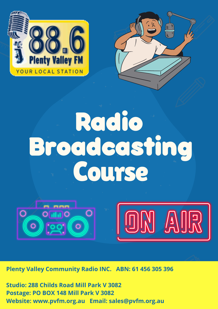



# **Broadcasting Radio** Course





**Plenty Valley Community Radio INC. ABN: 61 456 305 396**

**Studio: 288 Childs Road Mill Park V 3082 Postage: PO BOX 148 Mill Park V 3082 Website: www.pvfm.org.au Email: sales@pvfm.org.au**